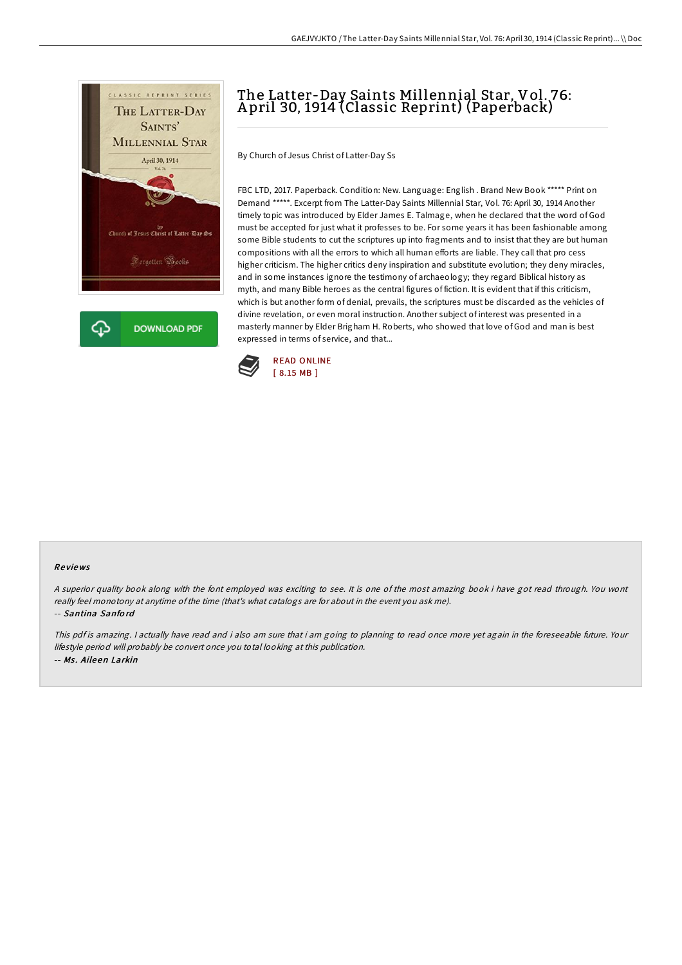

# The Latter-Day Saints Millennial Star, Vol. 76: A pril 30, 1914 (Classic Reprint) (Paperback)

By Church of Jesus Christ of Latter-Day Ss

FBC LTD, 2017. Paperback. Condition: New. Language: English . Brand New Book \*\*\*\*\* Print on Demand \*\*\*\*\*. Excerpt from The Latter-Day Saints Millennial Star, Vol. 76: April 30, 1914 Another timely topic was introduced by Elder James E. Talmage, when he declared that the word of God must be accepted for just what it professes to be. For some years it has been fashionable among some Bible students to cut the scriptures up into fragments and to insist that they are but human compositions with all the errors to which all human efforts are liable. They call that pro cess higher criticism. The higher critics deny inspiration and substitute evolution; they deny miracles, and in some instances ignore the testimony of archaeology; they regard Biblical history as myth, and many Bible heroes as the central figures of fiction. It is evident that if this criticism, which is but another form of denial, prevails, the scriptures must be discarded as the vehicles of divine revelation, or even moral instruction. Another subject of interest was presented in a masterly manner by Elder Brigham H. Roberts, who showed that love of God and man is best expressed in terms of service, and that...



#### Re views

<sup>A</sup> superior quality book along with the font employed was exciting to see. It is one of the most amazing book i have got read through. You wont really feel monotony at anytime ofthe time (that's what catalogs are for about in the event you ask me).

### -- Santina Sanfo rd

This pdf is amazing. <sup>I</sup> actually have read and i also am sure that i am going to planning to read once more yet again in the foreseeable future. Your lifestyle period will probably be convert once you total looking at this publication. -- Ms . Aile en Larkin